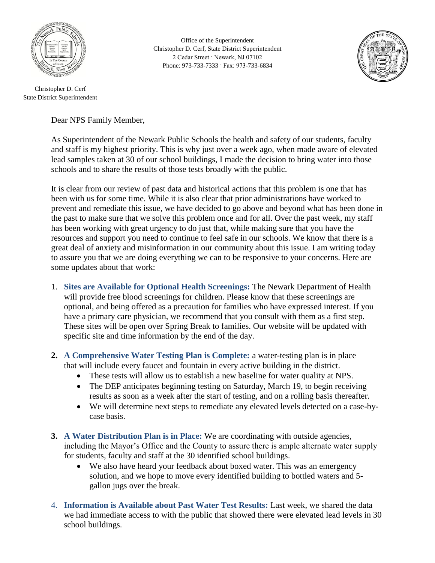

Christopher D. Cerf State District Superintendent

Office of the Superintendent Christopher D. Cerf, State District Superintendent 2 Cedar Street · Newark, NJ 07102 Phone: 973-733-7333 · Fax: 973-733-6834



Dear NPS Family Member,

As Superintendent of the Newark Public Schools the health and safety of our students, faculty and staff is my highest priority. This is why just over a week ago, when made aware of elevated lead samples taken at 30 of our school buildings, I made the decision to bring water into those schools and to share the results of those tests broadly with the public.

It is clear from our review of past data and historical actions that this problem is one that has been with us for some time. While it is also clear that prior administrations have worked to prevent and remediate this issue, we have decided to go above and beyond what has been done in the past to make sure that we solve this problem once and for all. Over the past week, my staff has been working with great urgency to do just that, while making sure that you have the resources and support you need to continue to feel safe in our schools. We know that there is a great deal of anxiety and misinformation in our community about this issue. I am writing today to assure you that we are doing everything we can to be responsive to your concerns. Here are some updates about that work:

- 1. **Sites are Available for Optional Health Screenings:** The Newark Department of Health will provide free blood screenings for children. Please know that these screenings are optional, and being offered as a precaution for families who have expressed interest. If you have a primary care physician, we recommend that you consult with them as a first step. These sites will be open over Spring Break to families. Our website will be updated with specific site and time information by the end of the day.
- **2. A Comprehensive Water Testing Plan is Complete:** a water-testing plan is in place that will include every faucet and fountain in every active building in the district.
	- These tests will allow us to establish a new baseline for water quality at NPS.
	- The DEP anticipates beginning testing on Saturday, March 19, to begin receiving results as soon as a week after the start of testing, and on a rolling basis thereafter.
	- We will determine next steps to remediate any elevated levels detected on a case-bycase basis.
- **3. A Water Distribution Plan is in Place:** We are coordinating with outside agencies, including the Mayor's Office and the County to assure there is ample alternate water supply for students, faculty and staff at the 30 identified school buildings.
	- We also have heard your feedback about boxed water. This was an emergency solution, and we hope to move every identified building to bottled waters and 5 gallon jugs over the break.
- 4. **Information is Available about Past Water Test Results:** Last week, we shared the data we had immediate access to with the public that showed there were elevated lead levels in 30 school buildings.